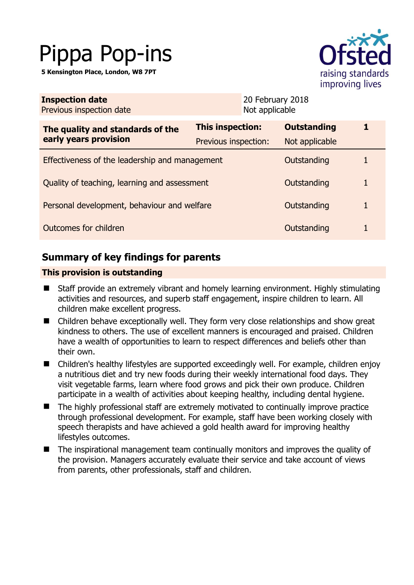# Pippa Pop-ins

**5 Kensington Place, London, W8 7PT** 



| <b>Inspection date</b><br>Previous inspection date        | 20 February 2018<br>Not applicable |                    |   |
|-----------------------------------------------------------|------------------------------------|--------------------|---|
| The quality and standards of the<br>early years provision | <b>This inspection:</b>            | <b>Outstanding</b> |   |
|                                                           | Previous inspection:               | Not applicable     |   |
| Effectiveness of the leadership and management            |                                    | Outstanding        | 1 |
| Quality of teaching, learning and assessment              |                                    | Outstanding        | 1 |
| Personal development, behaviour and welfare               |                                    | Outstanding        | 1 |
| Outcomes for children                                     |                                    | Outstanding        |   |

# **Summary of key findings for parents**

## **This provision is outstanding**

- Staff provide an extremely vibrant and homely learning environment. Highly stimulating activities and resources, and superb staff engagement, inspire children to learn. All children make excellent progress.
- Children behave exceptionally well. They form very close relationships and show great kindness to others. The use of excellent manners is encouraged and praised. Children have a wealth of opportunities to learn to respect differences and beliefs other than their own.
- Children's healthy lifestyles are supported exceedingly well. For example, children enjoy a nutritious diet and try new foods during their weekly international food days. They visit vegetable farms, learn where food grows and pick their own produce. Children participate in a wealth of activities about keeping healthy, including dental hygiene.
- The highly professional staff are extremely motivated to continually improve practice through professional development. For example, staff have been working closely with speech therapists and have achieved a gold health award for improving healthy lifestyles outcomes.
- The inspirational management team continually monitors and improves the quality of the provision. Managers accurately evaluate their service and take account of views from parents, other professionals, staff and children.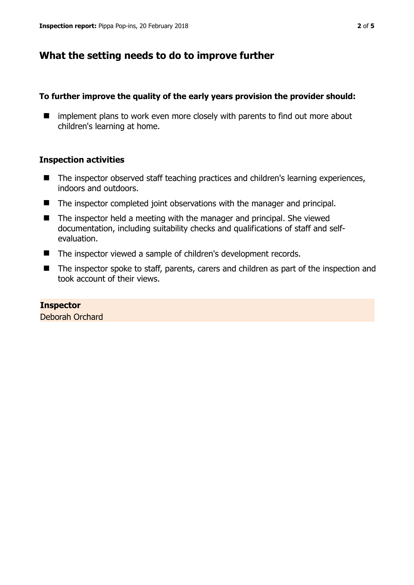## **What the setting needs to do to improve further**

### **To further improve the quality of the early years provision the provider should:**

**I** implement plans to work even more closely with parents to find out more about children's learning at home.

## **Inspection activities**

- The inspector observed staff teaching practices and children's learning experiences, indoors and outdoors.
- The inspector completed joint observations with the manager and principal.
- $\blacksquare$  The inspector held a meeting with the manager and principal. She viewed documentation, including suitability checks and qualifications of staff and selfevaluation.
- The inspector viewed a sample of children's development records.
- The inspector spoke to staff, parents, carers and children as part of the inspection and took account of their views.

#### **Inspector**

Deborah Orchard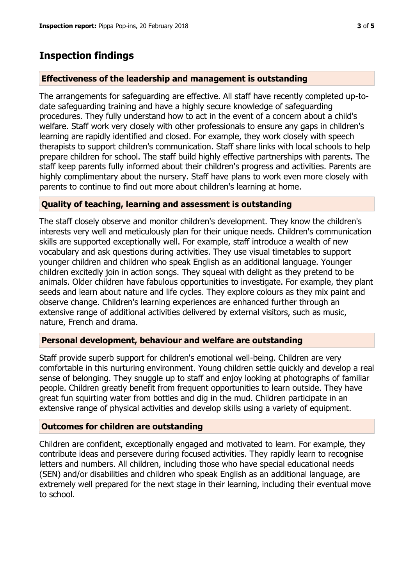## **Inspection findings**

## **Effectiveness of the leadership and management is outstanding**

The arrangements for safeguarding are effective. All staff have recently completed up-todate safeguarding training and have a highly secure knowledge of safeguarding procedures. They fully understand how to act in the event of a concern about a child's welfare. Staff work very closely with other professionals to ensure any gaps in children's learning are rapidly identified and closed. For example, they work closely with speech therapists to support children's communication. Staff share links with local schools to help prepare children for school. The staff build highly effective partnerships with parents. The staff keep parents fully informed about their children's progress and activities. Parents are highly complimentary about the nursery. Staff have plans to work even more closely with parents to continue to find out more about children's learning at home.

## **Quality of teaching, learning and assessment is outstanding**

The staff closely observe and monitor children's development. They know the children's interests very well and meticulously plan for their unique needs. Children's communication skills are supported exceptionally well. For example, staff introduce a wealth of new vocabulary and ask questions during activities. They use visual timetables to support younger children and children who speak English as an additional language. Younger children excitedly join in action songs. They squeal with delight as they pretend to be animals. Older children have fabulous opportunities to investigate. For example, they plant seeds and learn about nature and life cycles. They explore colours as they mix paint and observe change. Children's learning experiences are enhanced further through an extensive range of additional activities delivered by external visitors, such as music, nature, French and drama.

#### **Personal development, behaviour and welfare are outstanding**

Staff provide superb support for children's emotional well-being. Children are very comfortable in this nurturing environment. Young children settle quickly and develop a real sense of belonging. They snuggle up to staff and enjoy looking at photographs of familiar people. Children greatly benefit from frequent opportunities to learn outside. They have great fun squirting water from bottles and dig in the mud. Children participate in an extensive range of physical activities and develop skills using a variety of equipment.

## **Outcomes for children are outstanding**

Children are confident, exceptionally engaged and motivated to learn. For example, they contribute ideas and persevere during focused activities. They rapidly learn to recognise letters and numbers. All children, including those who have special educational needs (SEN) and/or disabilities and children who speak English as an additional language, are extremely well prepared for the next stage in their learning, including their eventual move to school.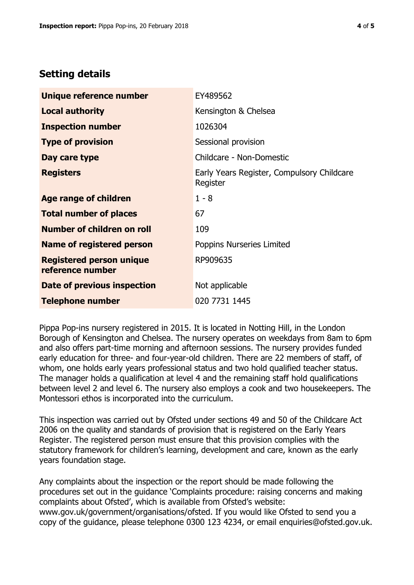## **Setting details**

| Unique reference number                             | EY489562                                               |  |
|-----------------------------------------------------|--------------------------------------------------------|--|
| <b>Local authority</b>                              | Kensington & Chelsea                                   |  |
| <b>Inspection number</b>                            | 1026304                                                |  |
| <b>Type of provision</b>                            | Sessional provision                                    |  |
| Day care type                                       | Childcare - Non-Domestic                               |  |
| <b>Registers</b>                                    | Early Years Register, Compulsory Childcare<br>Register |  |
| Age range of children                               | $1 - 8$                                                |  |
| <b>Total number of places</b>                       | 67                                                     |  |
| Number of children on roll                          | 109                                                    |  |
| Name of registered person                           | Poppins Nurseries Limited                              |  |
| <b>Registered person unique</b><br>reference number | RP909635                                               |  |
| <b>Date of previous inspection</b>                  | Not applicable                                         |  |
| <b>Telephone number</b>                             | 020 7731 1445                                          |  |

Pippa Pop-ins nursery registered in 2015. It is located in Notting Hill, in the London Borough of Kensington and Chelsea. The nursery operates on weekdays from 8am to 6pm and also offers part-time morning and afternoon sessions. The nursery provides funded early education for three- and four-year-old children. There are 22 members of staff, of whom, one holds early years professional status and two hold qualified teacher status. The manager holds a qualification at level 4 and the remaining staff hold qualifications between level 2 and level 6. The nursery also employs a cook and two housekeepers. The Montessori ethos is incorporated into the curriculum.

This inspection was carried out by Ofsted under sections 49 and 50 of the Childcare Act 2006 on the quality and standards of provision that is registered on the Early Years Register. The registered person must ensure that this provision complies with the statutory framework for children's learning, development and care, known as the early years foundation stage.

Any complaints about the inspection or the report should be made following the procedures set out in the guidance 'Complaints procedure: raising concerns and making complaints about Ofsted', which is available from Ofsted's website: www.gov.uk/government/organisations/ofsted. If you would like Ofsted to send you a copy of the guidance, please telephone 0300 123 4234, or email enquiries@ofsted.gov.uk.